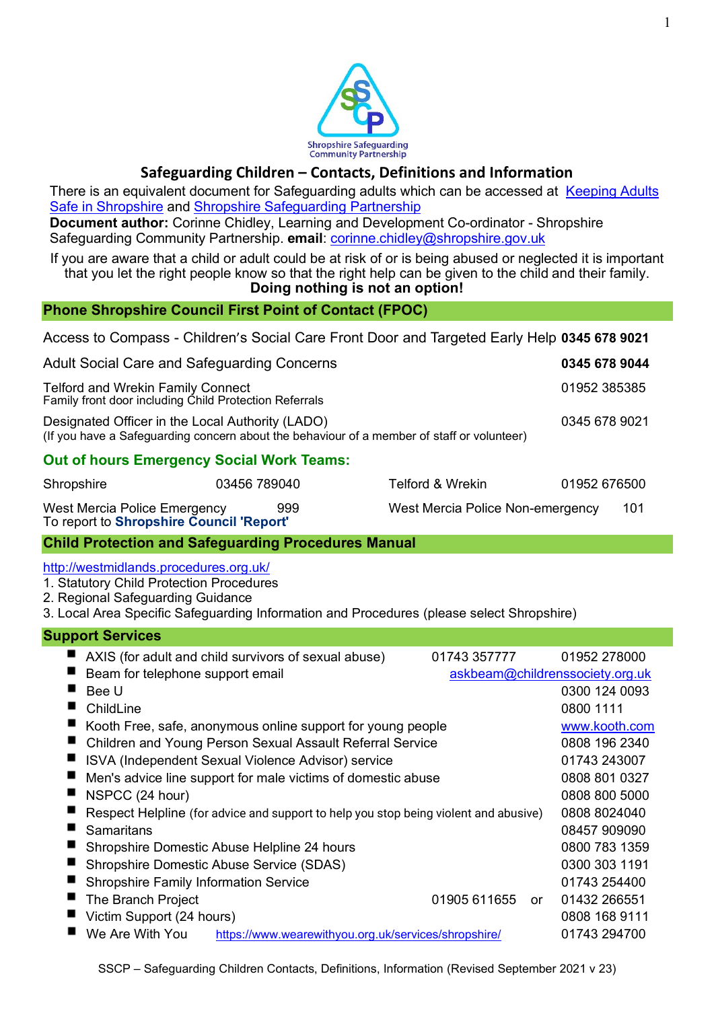

# **Safeguarding Children – Contacts, Definitions and Information**

There is an equivalent document for Safeguarding adults which can be accessed at Keeping Adults [Safe in Shropshire](http://www.keepingadultssafeinshropshire.org.uk/learning-resources/) and [Shropshire Safeguarding Partnership](http://www.safeguardingshropshireschildren.org.uk/professionals-and-volunteers/safeguarding-training/)

**Document author:** Corinne Chidley, Learning and Development Co-ordinator - Shropshire Safeguarding Community Partnership. **email**: [corinne.chidley@shropshire.gov.uk](mailto:corinne.chidley@shropshire.gov.uk)

If you are aware that a child or adult could be at risk of or is being abused or neglected it is important that you let the right people know so that the right help can be given to the child and their family.

## **Doing nothing is not an option!**

## **Phone Shropshire Council First Point of Contact (FPOC)**

Access to Compass - Children's Social Care Front Door and Targeted Early Help **0345 678 9021**

| Adult Social Care and Safeguarding Concerns                                                                                                    | 0345 678 9044 |
|------------------------------------------------------------------------------------------------------------------------------------------------|---------------|
| <b>Telford and Wrekin Family Connect</b><br>Family front door including Child Protection Referrals                                             | 01952 385385  |
| Designated Officer in the Local Authority (LADO)<br>(If you have a Safeguarding concern about the behaviour of a member of staff or volunteer) | 0345 678 9021 |
| <b>Out of hours Emergency Social Work Teams:</b>                                                                                               |               |

| Shropshire                                                               | 03456 789040 | Telford & Wrekin                 | 01952 676500 |     |
|--------------------------------------------------------------------------|--------------|----------------------------------|--------------|-----|
| West Mercia Police Emergency<br>To report to Shropshire Council 'Report' | 999          | West Mercia Police Non-emergency |              | 101 |

# **Child Protection and Safeguarding Procedures Manual**

<http://westmidlands.procedures.org.uk/>

1. [Statutory Child Protection Procedures](http://westmidlands.procedures.org.uk/page/contents#p1)

2. [Regional Safeguarding Guidance](http://westmidlands.procedures.org.uk/page/contents#p2) 

3. [Local Area Specific Safeguarding Information and Procedures](http://westmidlands.procedures.org.uk/page/contents#p3) (please select Shropshire)

| <b>Support Services</b>                                                              |                                 |               |
|--------------------------------------------------------------------------------------|---------------------------------|---------------|
| AXIS (for adult and child survivors of sexual abuse)                                 | 01743 357777                    | 01952 278000  |
| Beam for telephone support email                                                     | askbeam@childrenssociety.org.uk |               |
| Bee U                                                                                |                                 | 0300 124 0093 |
| ChildLine                                                                            |                                 | 0800 1111     |
| Kooth Free, safe, anonymous online support for young people                          |                                 | www.kooth.com |
| Children and Young Person Sexual Assault Referral Service                            |                                 | 0808 196 2340 |
| ISVA (Independent Sexual Violence Advisor) service                                   |                                 | 01743 243007  |
| Men's advice line support for male victims of domestic abuse                         |                                 | 0808 801 0327 |
| NSPCC (24 hour)                                                                      |                                 | 0808 800 5000 |
| Respect Helpline (for advice and support to help you stop being violent and abusive) |                                 | 0808 8024040  |
| Samaritans                                                                           |                                 | 08457 909090  |
| Shropshire Domestic Abuse Helpline 24 hours                                          |                                 | 0800 783 1359 |
| Shropshire Domestic Abuse Service (SDAS)                                             |                                 | 0300 303 1191 |
| <b>Shropshire Family Information Service</b>                                         |                                 | 01743 254400  |
| The Branch Project                                                                   | 01905 611655 or                 | 01432 266551  |
| Victim Support (24 hours)                                                            |                                 | 0808 168 9111 |
| We Are With You<br>https://www.wearewithyou.org.uk/services/shropshire/              |                                 | 01743 294700  |
|                                                                                      |                                 |               |

SSCP – Safeguarding Children Contacts, Definitions, Information (Revised September 2021 v 23)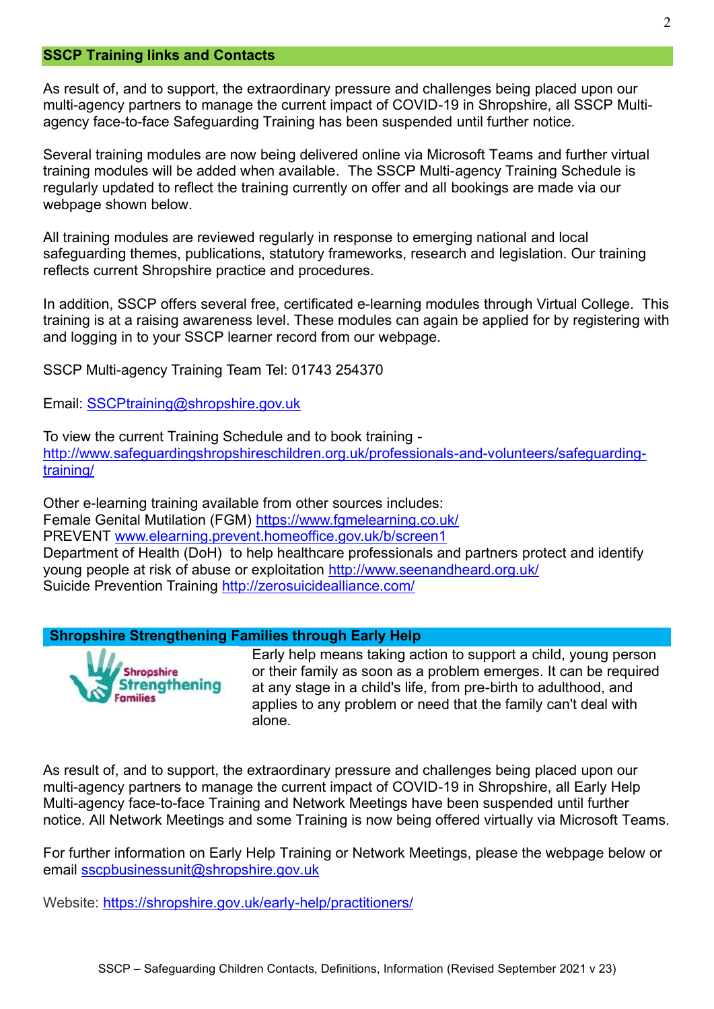#### **SSCP Training links and Contacts**

As result of, and to support, the extraordinary pressure and challenges being placed upon our multi-agency partners to manage the current impact of COVID-19 in Shropshire, all SSCP Multiagency face-to-face Safeguarding Training has been suspended until further notice.

Several training modules are now being delivered online via Microsoft Teams and further virtual training modules will be added when available. The SSCP Multi-agency Training Schedule is regularly updated to reflect the training currently on offer and all bookings are made via our webpage shown below.

All training modules are reviewed regularly in response to emerging national and local safeguarding themes, publications, statutory frameworks, research and legislation. Our training reflects current Shropshire practice and procedures.

In addition, SSCP offers several free, certificated e-learning modules through Virtual College. This training is at a raising awareness level. These modules can again be applied for by registering with and logging in to your SSCP learner record from our webpage.

SSCP Multi-agency Training Team Tel: 01743 254370

Email: [SSCPtraining@shropshire.gov.uk](mailto:tracey.bowen@shropshire.gov.uk)

To view the current Training Schedule and to book training [http://www.safeguardingshropshireschildren.org.uk/professionals-and-volunteers/safeguarding](http://www.safeguardingshropshireschildren.org.uk/professionals-and-volunteers/safeguarding-training/)[training/](http://www.safeguardingshropshireschildren.org.uk/professionals-and-volunteers/safeguarding-training/)

Other e-learning training available from other sources includes: Female Genital Mutilation (FGM) <https://www.fgmelearning.co.uk/> PREVENT [www.elearning.prevent.homeoffice.gov.uk/b/screen1](http://www.elearning.prevent.homeoffice.gov.uk/b/screen1) Department of Health (DoH) [to help healthcare professionals and partners protect and identify](http://www.seenandheard.org.uk/)  [young people at risk of abuse or exploitation](http://www.seenandheard.org.uk/) <http://www.seenandheard.org.uk/> Suicide Prevention Training<http://zerosuicidealliance.com/>

## **Shropshire Strengthening Families through Early Help**



Early help means taking action to support a child, young person or their family as soon as a problem emerges. It can be required at any stage in a child's life, from pre-birth to adulthood, and applies to any problem or need that the family can't deal with alone.

As result of, and to support, the extraordinary pressure and challenges being placed upon our multi-agency partners to manage the current impact of COVID-19 in Shropshire, all Early Help Multi-agency face-to-face Training and Network Meetings have been suspended until further notice. All Network Meetings and some Training is now being offered virtually via Microsoft Teams.

For further information on Early Help Training or Network Meetings, please the webpage below or email [sscpbusinessunit@shropshire.gov.uk](mailto:sscpbusinessunit@shropshire.gov.uk)

Website:<https://shropshire.gov.uk/early-help/practitioners/>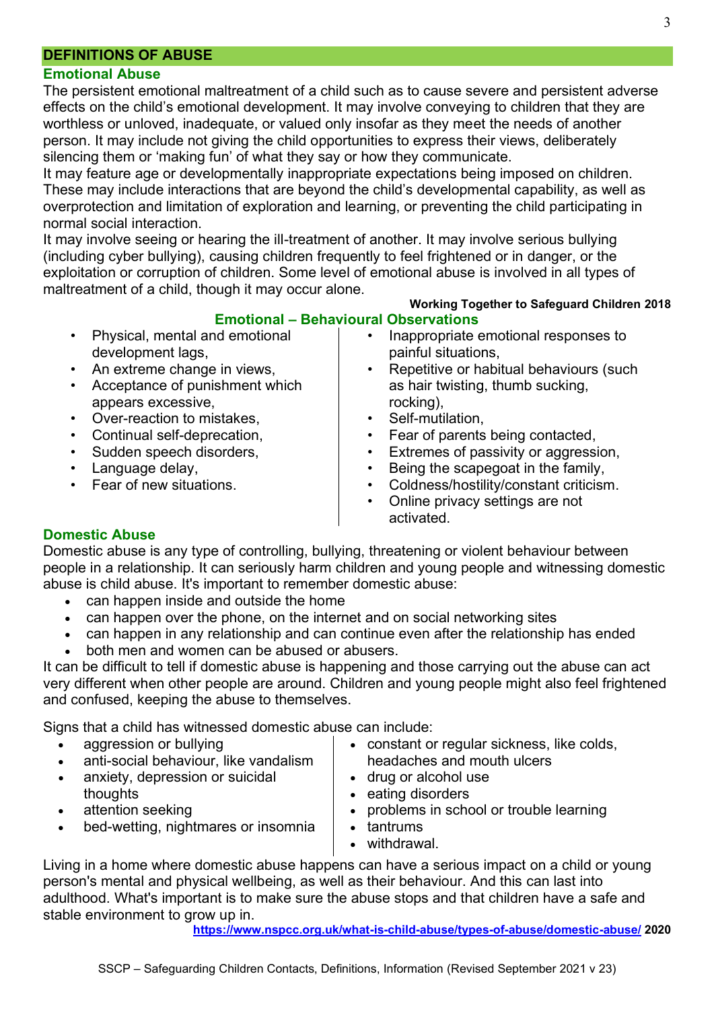## **DEFINITIONS OF ABUSE**

### **Emotional Abuse**

The persistent emotional maltreatment of a child such as to cause severe and persistent adverse effects on the child's emotional development. It may involve conveying to children that they are worthless or unloved, inadequate, or valued only insofar as they meet the needs of another person. It may include not giving the child opportunities to express their views, deliberately silencing them or 'making fun' of what they say or how they communicate.

It may feature age or developmentally inappropriate expectations being imposed on children. These may include interactions that are beyond the child's developmental capability, as well as overprotection and limitation of exploration and learning, or preventing the child participating in normal social interaction.

It may involve seeing or hearing the ill-treatment of another. It may involve serious bullying (including cyber bullying), causing children frequently to feel frightened or in danger, or the exploitation or corruption of children. Some level of emotional abuse is involved in all types of maltreatment of a child, though it may occur alone.

#### **Working Together to Safeguard Children 2018 Emotional – Behavioural Observations**

- Physical, mental and emotional development lags,
- An extreme change in views,
- Acceptance of punishment which appears excessive,
- Over-reaction to mistakes,
- Continual self-deprecation,
- Sudden speech disorders,
- Language delay,
- Fear of new situations.
- Inappropriate emotional responses to painful situations,
- Repetitive or habitual behaviours (such as hair twisting, thumb sucking, rocking),
- Self-mutilation.
- Fear of parents being contacted,
- Extremes of passivity or aggression,
- Being the scapegoat in the family,
- Coldness/hostility/constant criticism.
- Online privacy settings are not activated.

## **Domestic Abuse**

Domestic abuse is any type of controlling, bullying, threatening or violent behaviour between people in a relationship. It can seriously harm children and young people and witnessing domestic abuse is child abuse. It's important to remember domestic abuse:

- can happen inside and outside the home
- can happen over the phone, on the internet and on social networking sites
- can happen in any relationship and can continue even after the relationship has ended
- both men and women can be abused or abusers.

It can be difficult to tell if domestic abuse is happening and those carrying out the abuse can act very different when other people are around. Children and young people might also feel frightened and confused, keeping the abuse to themselves.

Signs that a child has witnessed domestic abuse can include:

- aggression or [bullying](https://www.nspcc.org.uk/what-is-child-abuse/types-of-abuse/bullying-and-cyberbullying/)
- anti-social behaviour, like vandalism
- [anxiety, depression or suicidal](https://www.nspcc.org.uk/keeping-children-safe/keeping-children-safe/mental-health-suicidal-thoughts-children/)  [thoughts](https://www.nspcc.org.uk/keeping-children-safe/keeping-children-safe/mental-health-suicidal-thoughts-children/)
- attention seeking
- bed-wetting, nightmares or insomnia
- constant or regular sickness, like colds, headaches and mouth ulcers
- [drug or alcohol use](https://www.nspcc.org.uk/keeping-children-safe/support-for-parents/alcohol-drugs-parenting/)
- eating disorders
- problems in school or trouble learning
- tantrums
- withdrawal.

Living in a home where domestic abuse happens can have a serious impact on a child or young person's [mental](https://www.nspcc.org.uk/keeping-children-safe/keeping-children-safe/mental-health-suicidal-thoughts-children/) and physical wellbeing, as well as their behaviour. And this can last into adulthood. What's important is to make sure the abuse stops and that children have a safe and stable environment to grow up in.

**<https://www.nspcc.org.uk/what-is-child-abuse/types-of-abuse/domestic-abuse/> 2020**

SSCP – Safeguarding Children Contacts, Definitions, Information (Revised September 2021 v 23)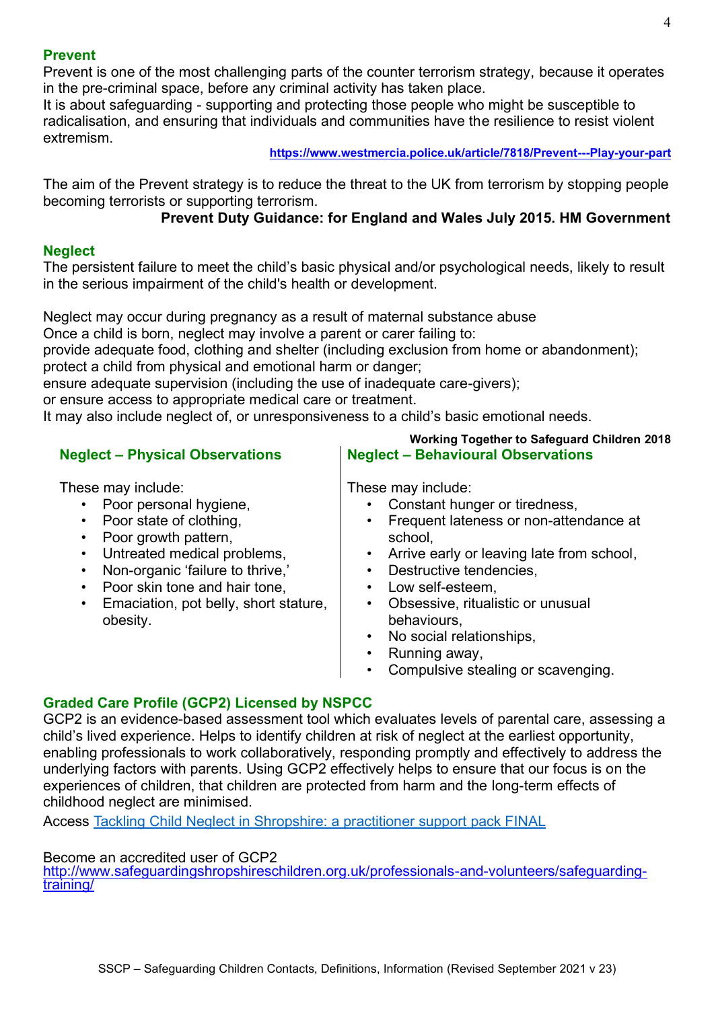## **Prevent**

Prevent is one of the most challenging parts of the counter terrorism strategy, because it operates in the pre-criminal space, before any criminal activity has taken place.

It is about safeguarding - supporting and protecting those people who might be susceptible to radicalisation, and ensuring that individuals and communities have the resilience to resist violent extremism.

#### **<https://www.westmercia.police.uk/article/7818/Prevent---Play-your-part>**

The aim of the Prevent strategy is to reduce the threat to the UK from terrorism by stopping people becoming terrorists or supporting terrorism.

# **Prevent Duty Guidance: for England and Wales July 2015. HM Government**

## **Neglect**

The persistent failure to meet the child's basic physical and/or psychological needs, likely to result in the serious impairment of the child's health or development.

Neglect may occur during pregnancy as a result of maternal substance abuse

Once a child is born, neglect may involve a parent or carer failing to:

provide adequate food, clothing and shelter (including exclusion from home or abandonment);

protect a child from physical and emotional harm or danger;

ensure adequate supervision (including the use of inadequate care-givers);

or ensure access to appropriate medical care or treatment.

It may also include neglect of, or unresponsiveness to a child's basic emotional needs.

## **Neglect – Physical Observations**

These may include:

- Poor personal hygiene,
- Poor state of clothing,
- Poor growth pattern.
- Untreated medical problems,
- Non-organic 'failure to thrive,'
- Poor skin tone and hair tone,
- Emaciation, pot belly, short stature, obesity.

**Working Together to Safeguard Children 2018 Neglect – Behavioural Observations**

These may include:

- Constant hunger or tiredness,
- Frequent lateness or non-attendance at school,
- Arrive early or leaving late from school,
- Destructive tendencies,
- Low self-esteem.
- Obsessive, ritualistic or unusual behaviours,
- No social relationships.
- Running away,
- Compulsive stealing or scavenging.

## **Graded Care Profile (GCP2) Licensed by NSPCC**

GCP2 is an evidence-based assessment tool which evaluates levels of parental care, assessing a child's lived experience. Helps to identify children at risk of neglect at the earliest opportunity, enabling professionals to work collaboratively, responding promptly and effectively to address the underlying factors with parents. Using GCP2 effectively helps to ensure that our focus is on the experiences of children, that children are protected from harm and the long-term effects of childhood neglect are minimised.

Access [Tackling Child Neglect in Shropshire: a practitioner support pack FINAL](https://westmidlands.procedures.org.uk/local-content/xkjN/neglect-tools-and-pathways/?b=Shropshire) 

## Become an accredited user of GCP2

[http://www.safeguardingshropshireschildren.org.uk/professionals-and-volunteers/safeguarding](http://www.safeguardingshropshireschildren.org.uk/professionals-and-volunteers/safeguarding-training/)[training/](http://www.safeguardingshropshireschildren.org.uk/professionals-and-volunteers/safeguarding-training/)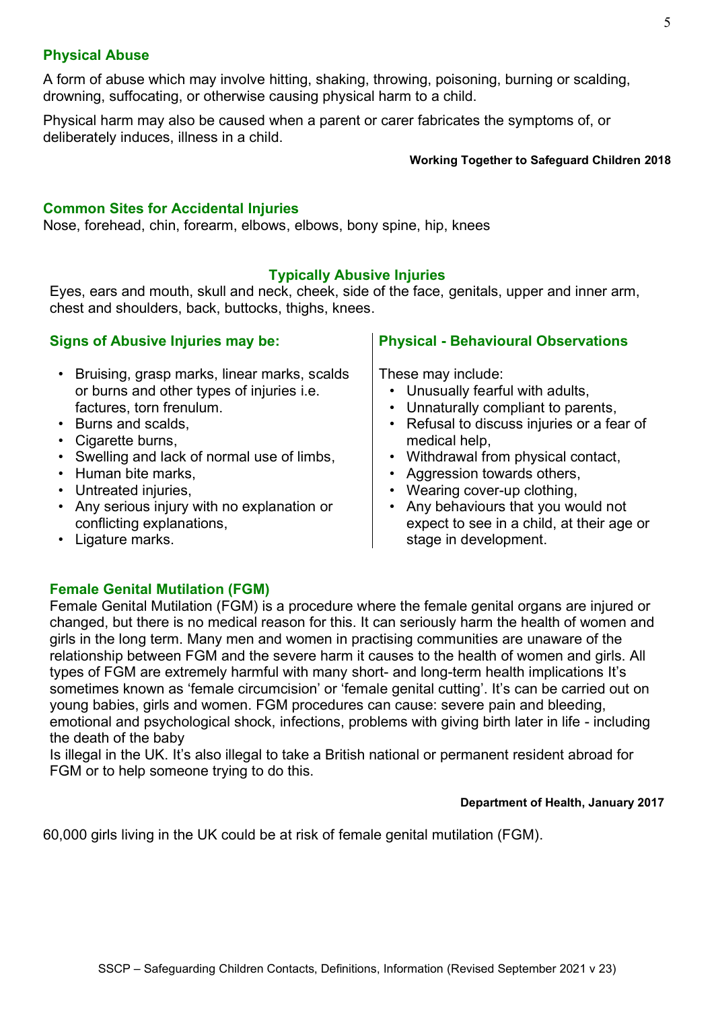## **Physical Abuse**

A form of abuse which may involve hitting, shaking, throwing, poisoning, burning or scalding, drowning, suffocating, or otherwise causing physical harm to a child.

Physical harm may also be caused when a parent or carer fabricates the symptoms of, or deliberately induces, illness in a child.

#### **Working Together to Safeguard Children 2018**

## **Common Sites for Accidental Injuries**

Nose, forehead, chin, forearm, elbows, elbows, bony spine, hip, knees

## **Typically Abusive Injuries**

Eyes, ears and mouth, skull and neck, cheek, side of the face, genitals, upper and inner arm, chest and shoulders, back, buttocks, thighs, knees.

## **Signs of Abusive Injuries may be:**

## • Bruising, grasp marks, linear marks, scalds or burns and other types of injuries i.e. factures, torn frenulum.

- Burns and scalds,
- Cigarette burns,
- Swelling and lack of normal use of limbs,
- Human bite marks,
- Untreated injuries,
- Any serious injury with no explanation or conflicting explanations,

**Physical - Behavioural Observations**

These may include:

- Unusually fearful with adults,
- Unnaturally compliant to parents,
- Refusal to discuss injuries or a fear of medical help,
- Withdrawal from physical contact,
- Aggression towards others,
- Wearing cover-up clothing,
- Any behaviours that you would not expect to see in a child, at their age or stage in development.

• Ligature marks.

# **Female Genital Mutilation (FGM)**

Female Genital Mutilation (FGM) is a procedure where the female genital organs are injured or changed, but there is no medical reason for this. It can seriously harm the health of women and girls in the long term. Many men and women in practising communities are unaware of the relationship between FGM and the severe harm it causes to the health of women and girls. All types of FGM are extremely harmful with many short- and long-term health implications It's sometimes known as 'female circumcision' or 'female genital cutting'. It's can be carried out on young babies, girls and women. FGM procedures can cause: severe pain and bleeding, emotional and psychological shock, infections, problems with giving birth later in life - including the death of the baby

Is illegal in the UK. It's also illegal to take a British national or permanent resident abroad for FGM or to help someone trying to do this.

### **Department of Health, January 2017**

60,000 girls living in the UK could be at risk of female genital mutilation (FGM).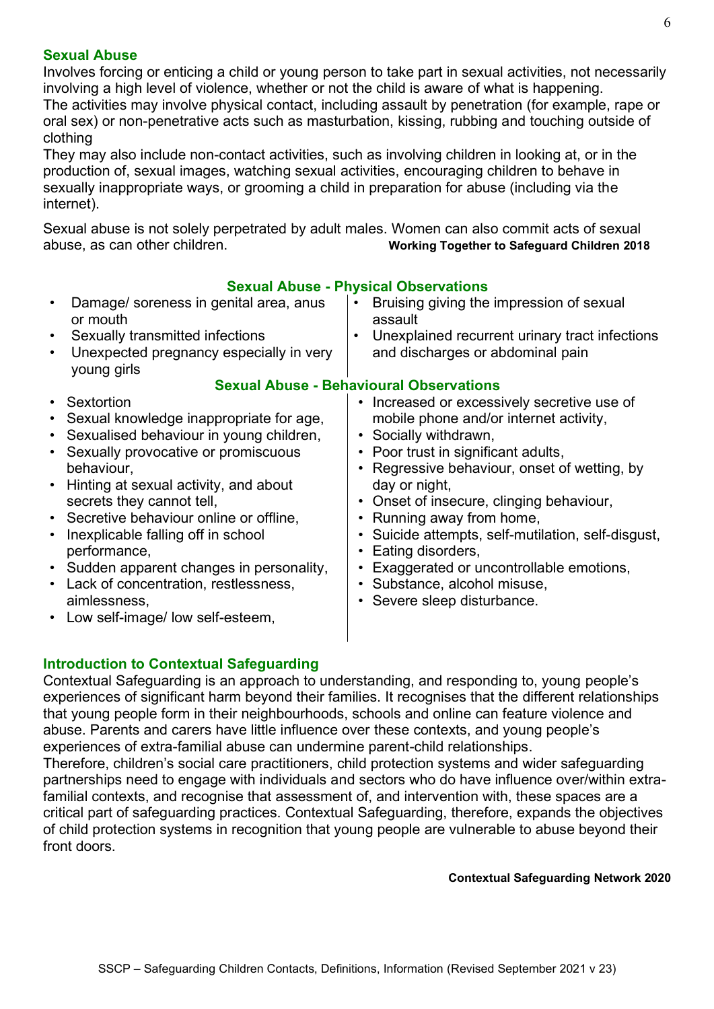## **Sexual Abuse**

Involves forcing or enticing a child or young person to take part in sexual activities, not necessarily involving a high level of violence, whether or not the child is aware of what is happening. The activities may involve physical contact, including assault by penetration (for example, rape or oral sex) or non-penetrative acts such as masturbation, kissing, rubbing and touching outside of clothing

They may also include non-contact activities, such as involving children in looking at, or in the production of, sexual images, watching sexual activities, encouraging children to behave in sexually inappropriate ways, or grooming a child in preparation for abuse (including via the internet).

Sexual abuse is not solely perpetrated by adult males. Women can also commit acts of sexual abuse, as can other children. **Working Together to Safeguard Children 2018**

| Sexual Abuse - Privsical Observations                                                                                                                                                                                                                                                                                                                                                                                                                                                                                                                       |                                                                                                                                                                                                                                                                                                                                                                                                                                                                            |  |  |  |
|-------------------------------------------------------------------------------------------------------------------------------------------------------------------------------------------------------------------------------------------------------------------------------------------------------------------------------------------------------------------------------------------------------------------------------------------------------------------------------------------------------------------------------------------------------------|----------------------------------------------------------------------------------------------------------------------------------------------------------------------------------------------------------------------------------------------------------------------------------------------------------------------------------------------------------------------------------------------------------------------------------------------------------------------------|--|--|--|
| Damage/ soreness in genital area, anus<br>$\bullet$<br>or mouth                                                                                                                                                                                                                                                                                                                                                                                                                                                                                             | Bruising giving the impression of sexual<br>assault                                                                                                                                                                                                                                                                                                                                                                                                                        |  |  |  |
| Sexually transmitted infections<br>$\bullet$                                                                                                                                                                                                                                                                                                                                                                                                                                                                                                                | Unexplained recurrent urinary tract infections<br>٠                                                                                                                                                                                                                                                                                                                                                                                                                        |  |  |  |
| Unexpected pregnancy especially in very<br>$\bullet$<br>young girls                                                                                                                                                                                                                                                                                                                                                                                                                                                                                         | and discharges or abdominal pain                                                                                                                                                                                                                                                                                                                                                                                                                                           |  |  |  |
| <b>Sexual Abuse - Behavioural Observations</b>                                                                                                                                                                                                                                                                                                                                                                                                                                                                                                              |                                                                                                                                                                                                                                                                                                                                                                                                                                                                            |  |  |  |
| Sextortion<br>$\bullet$<br>Sexual knowledge inappropriate for age,<br>٠<br>• Sexualised behaviour in young children,<br>Sexually provocative or promiscuous<br>$\bullet$<br>behaviour,<br>Hinting at sexual activity, and about<br>$\bullet$<br>secrets they cannot tell,<br>• Secretive behaviour online or offline,<br>Inexplicable falling off in school<br>$\bullet$<br>performance,<br>• Sudden apparent changes in personality,<br>Lack of concentration, restlessness,<br>$\bullet$<br>aimlessness,<br>Low self-image/ low self-esteem,<br>$\bullet$ | • Increased or excessively secretive use of<br>mobile phone and/or internet activity,<br>• Socially withdrawn,<br>• Poor trust in significant adults,<br>Regressive behaviour, onset of wetting, by<br>day or night,<br>• Onset of insecure, clinging behaviour,<br>Running away from home,<br>Suicide attempts, self-mutilation, self-disgust,<br>Eating disorders,<br>Exaggerated or uncontrollable emotions,<br>Substance, alcohol misuse,<br>Severe sleep disturbance. |  |  |  |

# **Sexual Abuse - Physical Observations**

# **Introduction to Contextual Safeguarding**

Contextual Safeguarding is an approach to understanding, and responding to, young people's experiences of significant harm beyond their families. It recognises that the different relationships that young people form in their neighbourhoods, schools and online can feature violence and abuse. Parents and carers have little influence over these contexts, and young people's experiences of extra-familial abuse can undermine parent-child relationships.

Therefore, children's social care practitioners, child protection systems and wider safeguarding partnerships need to engage with individuals and sectors who do have influence over/within extrafamilial contexts, and recognise that assessment of, and intervention with, these spaces are a critical part of safeguarding practices. Contextual Safeguarding, therefore, expands the objectives of child protection systems in recognition that young people are vulnerable to abuse beyond their front doors.

# **Contextual Safeguarding Network 2020**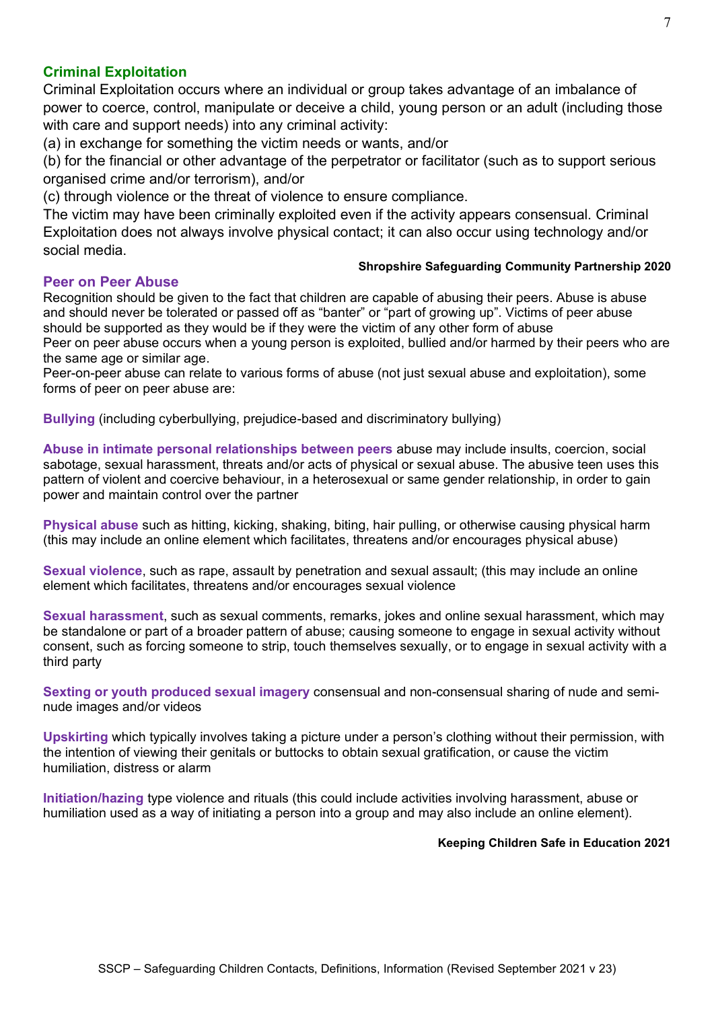## **Criminal Exploitation**

Criminal Exploitation occurs where an individual or group takes advantage of an imbalance of power to coerce, control, manipulate or deceive a child, young person or an adult (including those with care and support needs) into any criminal activity:

(a) in exchange for something the victim needs or wants, and/or

(b) for the financial or other advantage of the perpetrator or facilitator (such as to support serious organised crime and/or terrorism), and/or

(c) through violence or the threat of violence to ensure compliance.

The victim may have been criminally exploited even if the activity appears consensual. Criminal Exploitation does not always involve physical contact; it can also occur using technology and/or social media.

### **Peer on Peer Abuse**

#### **Shropshire Safeguarding Community Partnership 2020**

Recognition should be given to the fact that children are capable of abusing their peers. Abuse is abuse and should never be tolerated or passed off as "banter" or "part of growing up". Victims of peer abuse should be supported as they would be if they were the victim of any other form of abuse Peer on peer abuse occurs when a young person is exploited, bullied and/or harmed by their peers who are the same age or similar age.

Peer-on-peer abuse can relate to various forms of abuse (not just sexual abuse and exploitation), some forms of peer on peer abuse are:

**Bullying** (including cyberbullying, prejudice-based and discriminatory bullying)

**Abuse in intimate personal relationships between peers** abuse may include insults, coercion, social sabotage, sexual harassment, threats and/or acts of physical or sexual abuse. The abusive teen uses this pattern of violent and coercive behaviour, in a heterosexual or same gender relationship, in order to gain power and maintain control over the partner

**Physical abuse** such as hitting, kicking, shaking, biting, hair pulling, or otherwise causing physical harm (this may include an online element which facilitates, threatens and/or encourages physical abuse)

**Sexual violence**, such as rape, assault by penetration and sexual assault; (this may include an online element which facilitates, threatens and/or encourages sexual violence

**Sexual harassment**, such as sexual comments, remarks, jokes and online sexual harassment, which may be standalone or part of a broader pattern of abuse; causing someone to engage in sexual activity without consent, such as forcing someone to strip, touch themselves sexually, or to engage in sexual activity with a third party

**Sexting or youth produced sexual imagery** consensual and non-consensual sharing of nude and seminude images and/or videos

**Upskirting** which typically involves taking a picture under a person's clothing without their permission, with the intention of viewing their genitals or buttocks to obtain sexual gratification, or cause the victim humiliation, distress or alarm

**Initiation/hazing** type violence and rituals (this could include activities involving harassment, abuse or humiliation used as a way of initiating a person into a group and may also include an online element).

#### **Keeping Children Safe in Education 2021**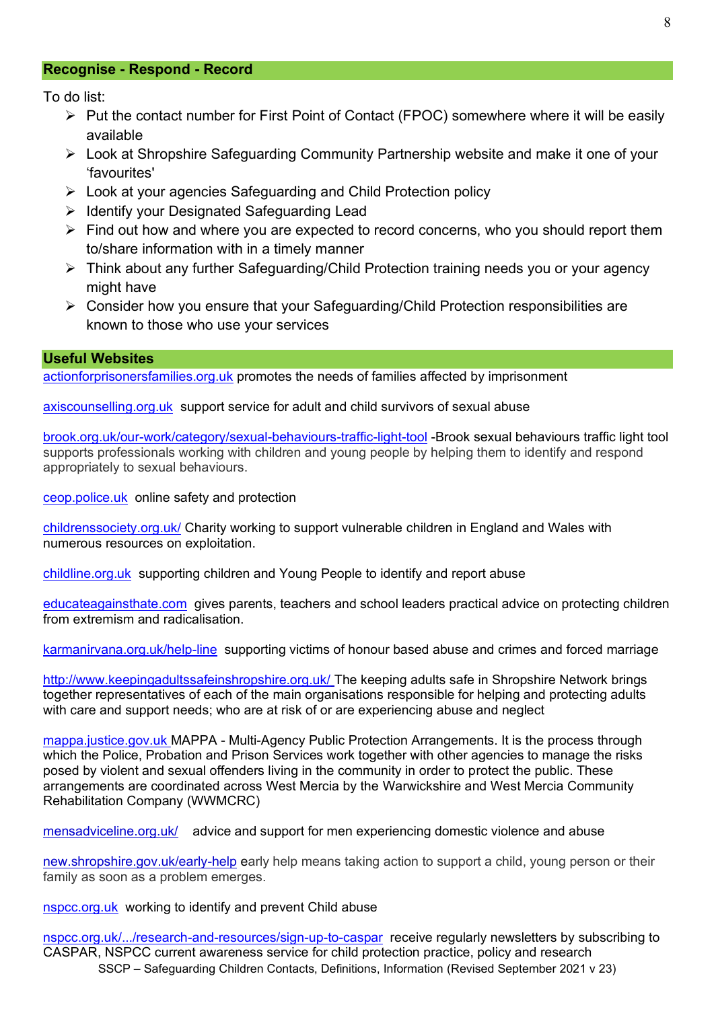### **Recognise - Respond - Record**

To do list:

- ➢ Put the contact number for First Point of Contact (FPOC) somewhere where it will be easily available
- ➢ Look at Shropshire Safeguarding Community Partnership website and make it one of your 'favourites'
- ➢ Look at your agencies Safeguarding and Child Protection policy
- ➢ Identify your Designated Safeguarding Lead
- ➢ Find out how and where you are expected to record concerns, who you should report them to/share information with in a timely manner
- ➢ Think about any further Safeguarding/Child Protection training needs you or your agency might have
- ➢ Consider how you ensure that your Safeguarding/Child Protection responsibilities are known to those who use your services

### **Useful Websites**

[actionforprisonersfamilies.org.uk](http://www.actionforprisonersfamilies.org.uk/) promotes the needs of families affected by imprisonment

[axiscounselling.org.uk](http://www.axiscounselling.org.uk/) support service for adult and child survivors of sexual abuse

[brook.org.uk/our-work/category/sexual-behaviours-traffic-light-tool](http://www.brook.org.uk/our-work/category/sexual-behaviours-traffic-light-tool) -Brook sexual behaviours traffic light tool supports professionals working with children and young people by helping them to identify and respond appropriately to sexual behaviours.

[ceop.police.uk](http://www.ceop.police.uk/) online safety and protection

[childrenssociety.org.uk/](https://www.childrenssociety.org.uk/) Charity working to support vulnerable children in England and Wales with numerous resources on exploitation.

[childline.org.uk](http://www.childline.org.uk/) supporting children and Young People to identify and report abuse

[educateagainsthate.com](http://www.educateagainsthate.com/) gives [parents,](http://educateagainsthate.com/parents) [teachers](http://educateagainsthate.com/teachers) and [school leaders](http://educateagainsthate.com/governors) practical advice on protecting children from extremism and radicalisation.

[karmanirvana.org.uk/help-line](http://www.karmanirvana.org.uk/help-line) supporting victims of honour based abuse and crimes and forced marriage

<http://www.keepingadultssafeinshropshire.org.uk/> The keeping adults safe in Shropshire Network brings together representatives of each of the main organisations responsible for helping and protecting adults with care and support needs; who are at risk of or are experiencing abuse and neglect

[mappa.justice.gov.uk](http://www.mappa.justice.gov.uk/) MAPPA - Multi-Agency Public Protection Arrangements. It is the process through which the Police, Probation and Prison Services work together with other agencies to manage the risks posed by violent and sexual offenders living in the community in order to protect the public. These arrangements are coordinated across West Mercia by the [Warwickshire and West Mercia Community](http://www.westmerciaprobation.org.uk/page.php?Plv=3&P1=5&P2=20&P3=7)  [Rehabilitation Company \(WWMCRC\)](http://www.westmerciaprobation.org.uk/page.php?Plv=3&P1=5&P2=20&P3=7)

[mensadviceline.org.uk/](http://www.mensadviceline.org.uk/) advice and support for men experiencing domestic violence and abuse

[new.shropshire.gov.uk/early-help](http://new.shropshire.gov.uk/early-help) early help means taking action to support a child, young person or their family [as soon as a problem emerges.](http://www.westmercia.police.uk/article/5970/Managing-sexual-offenders-and-violent-offenders) 

[nspcc.org.uk](http://www.nspcc.org.uk/) working to identify and prevent Child abuse

SSCP – Safeguarding Children Contacts, Definitions, Information (Revised September 2021 v 23) [nspcc.org.uk/.../research-and-resources/sign-up-to-caspar](http://www.nspcc.org.uk/.../research-and-resources/sign-up-to-caspar) receive regularly newsletters by subscribing to CASPAR, NSPCC current awareness service for child protection practice, policy and research